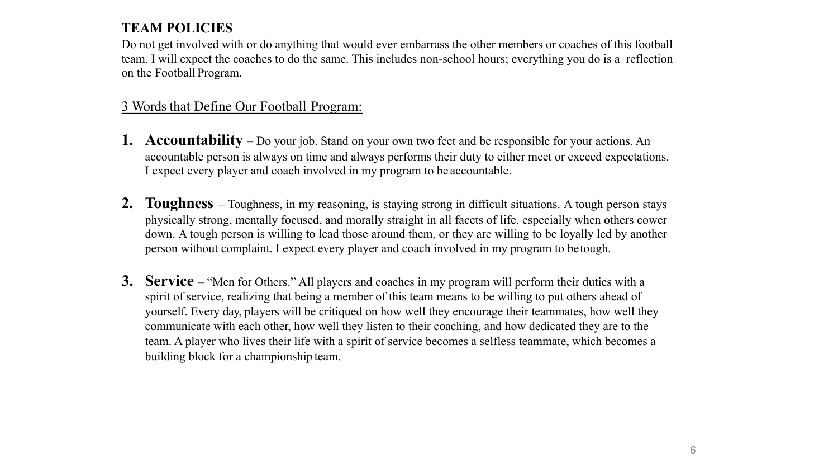## **TEAM POLICIES**

Do not get involved with or do anything that would ever embarrass the other members or coaches of this football team. I will expect the coaches to do the same. This includes non-school hours; everything you do is a reflection on the Football Program.

## 3 Words that Define Our Football Program:

- **1. Accountability**  Do your job. Stand on your own two feet and be responsible for your actions. An accountable person is always on time and always performs their duty to either meet or exceed expectations. I expect every player and coach involved in my program to be accountable.
- **2. Toughness** Toughness, in my reasoning, is staying strong in difficult situations. A tough person stays physically strong, mentally focused, and morally straight in all facets of life, especially when others cower down. A tough person is willing to lead those around them, or they are willing to be loyally led by another person without complaint. I expect every player and coach involved in my program to betough.
- **3. Service** "Men for Others." All players and coaches in my program will perform their duties with a spirit of service, realizing that being a member of this team means to be willing to put others ahead of yourself. Every day, players will be critiqued on how well they encourage their teammates, how well they communicate with each other, how well they listen to their coaching, and how dedicated they are to the team. A player who lives their life with a spirit of service becomes a selfless teammate, which becomes a building block for a championship team.